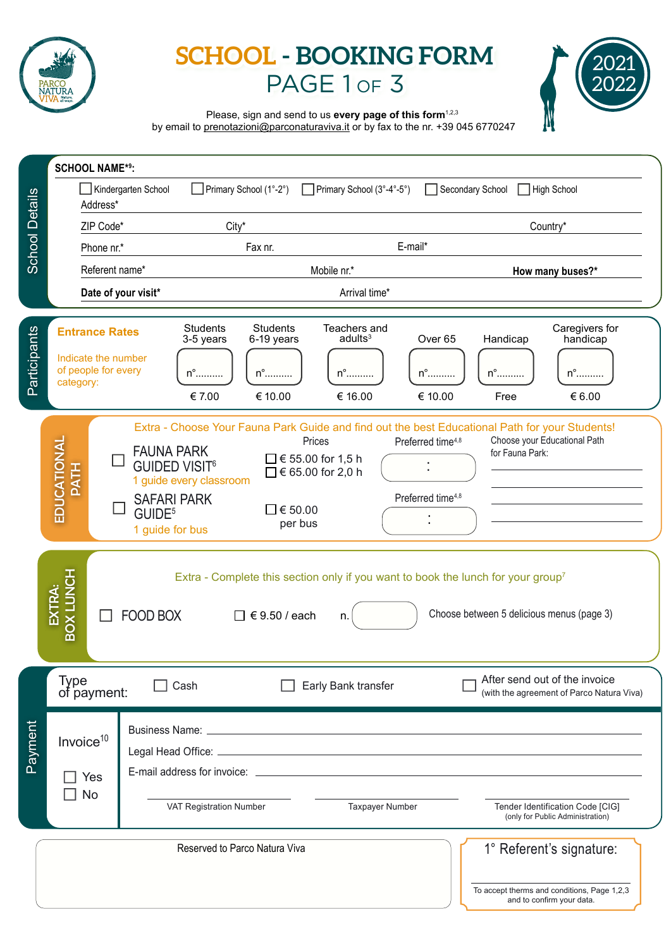

# **SCHOOL - BOOKING FORM** PAGE 1 or 3



Please, sign and send to us **every page of this form**<sup>1,2,3</sup>

by email to prenotazioni@parconaturaviva.it or by fax to the nr. +39 045 6770247

| <b>School Details</b> | <b>SCHOOL NAME*9:</b>                                                                                                                                                                                                                                                                    |                         |                                                                                |                                                         |                                                                            |                                                  |                                                                      |                                                                                                      |
|-----------------------|------------------------------------------------------------------------------------------------------------------------------------------------------------------------------------------------------------------------------------------------------------------------------------------|-------------------------|--------------------------------------------------------------------------------|---------------------------------------------------------|----------------------------------------------------------------------------|--------------------------------------------------|----------------------------------------------------------------------|------------------------------------------------------------------------------------------------------|
|                       | Kindergarten School<br>$\Box$ Primary School (1°-2°)<br>Address*                                                                                                                                                                                                                         |                         |                                                                                | Primary School (3°-4°-5°)                               |                                                                            | Secondary School                                 | High School                                                          |                                                                                                      |
|                       | ZIP Code*<br>$City*$                                                                                                                                                                                                                                                                     |                         |                                                                                |                                                         |                                                                            | Country*                                         |                                                                      |                                                                                                      |
|                       | Phone nr.*                                                                                                                                                                                                                                                                               |                         | E-mail*<br>Fax nr.                                                             |                                                         |                                                                            |                                                  |                                                                      |                                                                                                      |
|                       | Referent name*                                                                                                                                                                                                                                                                           |                         |                                                                                | Mobile nr.*                                             |                                                                            |                                                  | How many buses?*                                                     |                                                                                                      |
|                       | Date of your visit*                                                                                                                                                                                                                                                                      |                         | Arrival time*                                                                  |                                                         |                                                                            |                                                  |                                                                      |                                                                                                      |
| Participants          | <b>Entrance Rates</b><br>Indicate the number<br>of people for every<br>category:                                                                                                                                                                                                         |                         | <b>Students</b><br>3-5 years<br>$n^{\circ}$<br>€ 7.00                          | <b>Students</b><br>6-19 years<br>$n^{\circ}$<br>€ 10.00 | Teachers and<br>adults <sup>3</sup><br>$n^{\circ}$<br>€ 16.00              | Over <sub>65</sub><br>${\sf n}^\circ$<br>€ 10.00 | Handicap<br>$n^{\circ}$<br>Free                                      | Caregivers for<br>handicap<br>${\sf n}^\circ$<br>€ 6.00                                              |
|                       | Extra - Choose Your Fauna Park Guide and find out the best Educational Path for your Students!<br>EDUCATIONAL<br><b>FAUNA PARK</b><br><b>GUIDED VISIT<sup>6</sup></b><br><b>PATH</b><br>1 guide every classroom<br><b>SAFARI PARK</b><br>GUIDE <sup>5</sup><br>1 guide for bus           |                         | $\Box$ € 55.00 for 1,5 h<br>$□$ € 65.00 for 2,0 h<br>$\Box$ € 50.00<br>per bus | Prices                                                  | Preferred time <sup>4,8</sup><br>Preferred time <sup>4,8</sup>             | for Fauna Park:                                  | Choose your Educational Path                                         |                                                                                                      |
|                       | <b>BOX LUNCH</b><br>Extra - Complete this section only if you want to book the lunch for your group <sup>7</sup><br>EXTRA:<br>Choose between 5 delicious menus (page 3)<br><b>FOOD BOX</b><br>€ 9.50 / each<br>$\Box$<br>n.                                                              |                         |                                                                                |                                                         |                                                                            |                                                  |                                                                      |                                                                                                      |
| Payment               | <b>Type</b><br>Cash<br>of payment:                                                                                                                                                                                                                                                       |                         | Early Bank transfer                                                            |                                                         | After send out of the invoice<br>(with the agreement of Parco Natura Viva) |                                                  |                                                                      |                                                                                                      |
|                       | Invoice <sup>10</sup><br>E-mail address for invoice: <u>example and the set of the set of the set of the set of the set of the set of the set of the set of the set of the set of the set of the set of the set of the set of the set of the set of the s</u><br>Yes<br>- 1<br><b>No</b> |                         |                                                                                |                                                         |                                                                            |                                                  |                                                                      |                                                                                                      |
|                       |                                                                                                                                                                                                                                                                                          | VAT Registration Number |                                                                                |                                                         | <b>Taxpayer Number</b>                                                     |                                                  | Tender Identification Code [CIG]<br>(only for Public Administration) |                                                                                                      |
|                       |                                                                                                                                                                                                                                                                                          |                         |                                                                                | Reserved to Parco Natura Viva                           |                                                                            |                                                  |                                                                      | 1° Referent's signature:<br>To accept therms and conditions, Page 1,2,3<br>and to confirm your data. |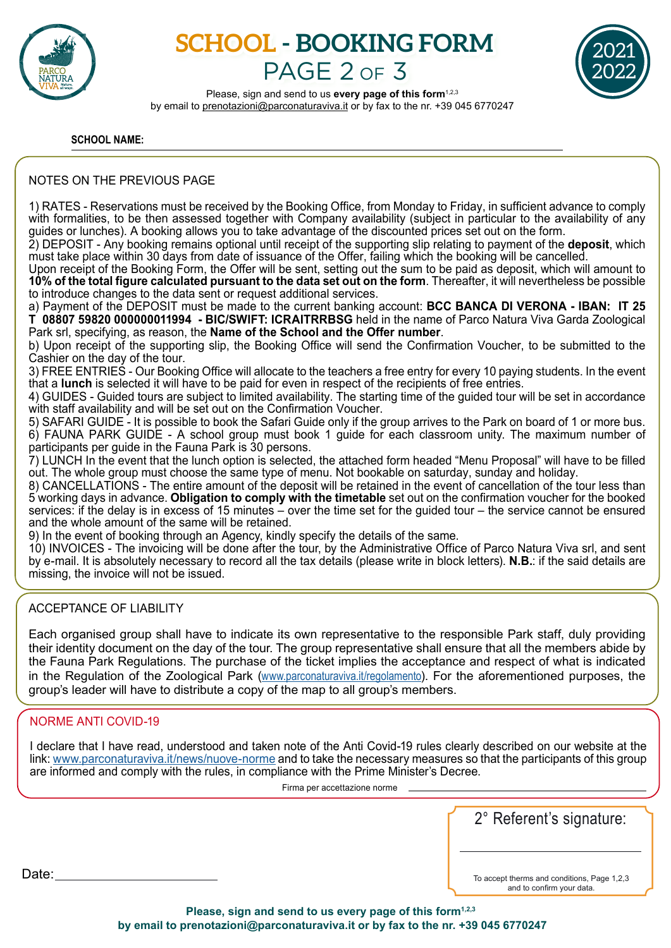

# **SCHOOL - BOOKING FORM** PAGE 2 OF 3



Please, sign and send to us **every page of this form**<sup>1,2,3</sup> by email to prenotazioni@parconaturaviva.it or by fax to the nr. +39 045 6770247

**SCHOOL NAME:**

### NOTES ON THE PREVIOUS PAGE

1) RATES - Reservations must be received by the Booking Office, from Monday to Friday, in sufficient advance to comply with formalities, to be then assessed together with Company availability (subject in particular to the availability of any guides or lunches). A booking allows you to take advantage of the discounted prices set out on the form.

2) DEPOSIT - Any booking remains optional until receipt of the supporting slip relating to payment of the **deposit**, which must take place within 30 days from date of issuance of the Offer, failing which the booking will be cancelled.

Upon receipt of the Booking Form, the Offer will be sent, setting out the sum to be paid as deposit, which will amount to **10% of the total figure calculated pursuant to the data set out on the form**. Thereafter, it will nevertheless be possible to introduce changes to the data sent or request additional services.

a) Payment of the DEPOSIT must be made to the current banking account: **BCC BANCA DI VERONA - IBAN: IT 25 T 08807 59820 000000011994 - BIC/SWIFT: ICRAITRRBSG** held in the name of Parco Natura Viva Garda Zoological Park srl, specifying, as reason, the **Name of the School and the Offer number**.

b) Upon receipt of the supporting slip, the Booking Office will send the Confirmation Voucher, to be submitted to the Cashier on the day of the tour.

3) FREE ENTRIES - Our Booking Office will allocate to the teachers a free entry for every 10 paying students. In the event that a **lunch** is selected it will have to be paid for even in respect of the recipients of free entries.

4) GUIDES - Guided tours are subject to limited availability. The starting time of the guided tour will be set in accordance with staff availability and will be set out on the Confirmation Voucher.

5) SAFARI GUIDE - It is possible to book the Safari Guide only if the group arrives to the Park on board of 1 or more bus. 6) FAUNA PARK GUIDE - A school group must book 1 guide for each classroom unity. The maximum number of participants per guide in the Fauna Park is 30 persons.

7) LUNCH In the event that the lunch option is selected, the attached form headed "Menu Proposal" will have to be filled out. The whole group must choose the same type of menu. Not bookable on saturday, sunday and holiday.

8) CANCELLATIONS - The entire amount of the deposit will be retained in the event of cancellation of the tour less than 5 working days in advance. **Obligation to comply with the timetable** set out on the confirmation voucher for the booked services: if the delay is in excess of 15 minutes – over the time set for the guided tour – the service cannot be ensured and the whole amount of the same will be retained.

9) In the event of booking through an Agency, kindly specify the details of the same.

10) INVOICES - The invoicing will be done after the tour, by the Administrative Office of Parco Natura Viva srl, and sent by e-mail. It is absolutely necessary to record all the tax details (please write in block letters). **N.B.**: if the said details are missing, the invoice will not be issued.

## ACCEPTANCE OF LIABILITY

Each organised group shall have to indicate its own representative to the responsible Park staff, duly providing their identity document on the day of the tour. The group representative shall ensure that all the members abide by the Fauna Park Regulations. The purchase of the ticket implies the acceptance and respect of what is indicated in the Regulation of the Zoological Park (www.parconaturaviva.it/regolamento). For the aforementioned purposes, the group's leader will have to distribute a copy of the map to all group's members.

## NORME ANTI COVID-19

I declare that I have read, understood and taken note of the Anti Covid-19 rules clearly described on our website at the link: www.parconaturaviva.it/news/nuove-norme and to take the necessary measures so that the participants of this group are informed and comply with the rules, in compliance with the Prime Minister's Decree.

Firma per accettazione norme

2° Referent's signature:

To accept therms and conditions, Page 1,2,3 and to confirm your data.

Date:

Please, sign and send to us every page of this form<sup>1,2,3</sup>  **by email to prenotazioni@parconaturaviva.it or by fax to the nr. +39 045 6770247**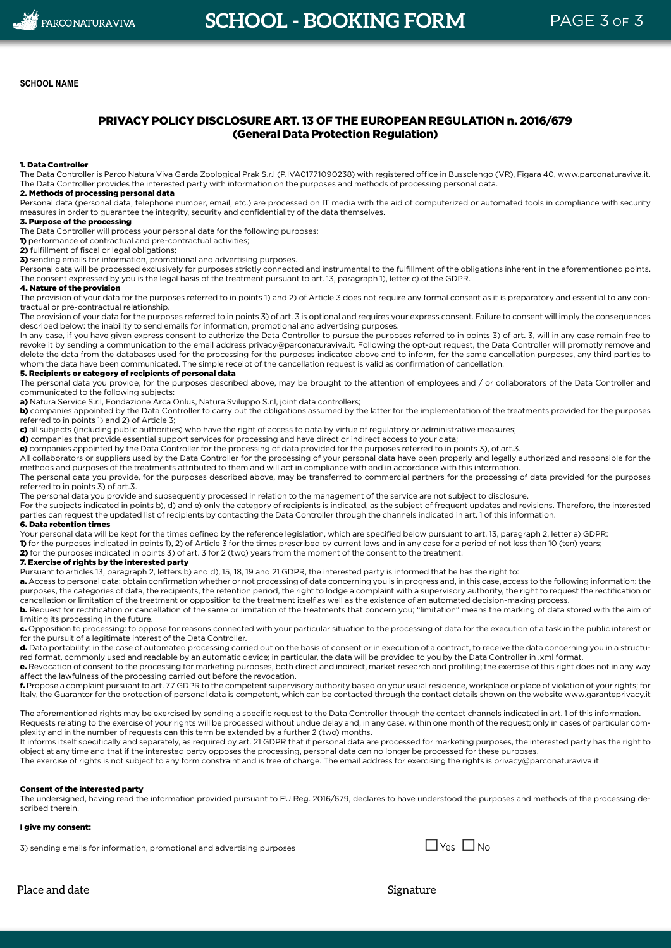### PRIVACY POLICY DISCLOSURE ART. 13 OF THE EUROPEAN REGULATION n. 2016/679 (General Data Protection Regulation)

#### 1. Data Controller

The Data Controller is Parco Natura Viva Garda Zoological Prak S.r.l (P.IVA01771090238) with registered office in Bussolengo (VR), Figara 40, www.parconaturaviva.it. The Data Controller provides the interested party with information on the purposes and methods of processing personal data.

### 2. Methods of processing personal data

Personal data (personal data, telephone number, email, etc.) are processed on IT media with the aid of computerized or automated tools in compliance with security measures in order to guarantee the integrity, security and confidentiality of the data themselves.

#### 3. Purpose of the processing

The Data Controller will process your personal data for the following purposes:

1) performance of contractual and pre-contractual activities;

2) fulfillment of fiscal or legal obligations;

3) sending emails for information, promotional and advertising purposes.

Personal data will be processed exclusively for purposes strictly connected and instrumental to the fulfillment of the obligations inherent in the aforementioned points. The consent expressed by you is the legal basis of the treatment pursuant to art. 13, paragraph 1), letter c) of the GDPR.

#### 4. Nature of the provision

The provision of your data for the purposes referred to in points 1) and 2) of Article 3 does not require any formal consent as it is preparatory and essential to any contractual or pre-contractual relationship.

The provision of your data for the purposes referred to in points 3) of art. 3 is optional and requires your express consent. Failure to consent will imply the consequences described below: the inability to send emails for information, promotional and advertising purposes.

In any case, if you have given express consent to authorize the Data Controller to pursue the purposes referred to in points 3) of art. 3, will in any case remain free to revoke it by sending a communication to the email address privacy@parconaturaviva.it. Following the opt-out request, the Data Controller will promptly remove and delete the data from the databases used for the processing for the purposes indicated above and to inform, for the same cancellation purposes, any third parties to whom the data have been communicated. The simple receipt of the cancellation request is valid as confirmation of cancellation.

#### 5. Recipients or category of recipients of personal data

The personal data you provide, for the purposes described above, may be brought to the attention of employees and / or collaborators of the Data Controller and communicated to the following subjects:

a) Natura Service S.r.l, Fondazione Arca Onlus, Natura Sviluppo S.r.l, joint data controllers;

b) companies appointed by the Data Controller to carry out the obligations assumed by the latter for the implementation of the treatments provided for the purposes referred to in points 1) and 2) of Article 3;

c) all subjects (including public authorities) who have the right of access to data by virtue of regulatory or administrative measures;

d) companies that provide essential support services for processing and have direct or indirect access to your data;

e) companies appointed by the Data Controller for the processing of data provided for the purposes referred to in points 3), of art.3.

All collaborators or suppliers used by the Data Controller for the processing of your personal data have been properly and legally authorized and responsible for the methods and purposes of the treatments attributed to them and will act in compliance with and in accordance with this information.

The personal data you provide, for the purposes described above, may be transferred to commercial partners for the processing of data provided for the purposes referred to in points 3) of art.3.

The personal data you provide and subsequently processed in relation to the management of the service are not subject to disclosure.

For the subjects indicated in points b), d) and e) only the category of recipients is indicated, as the subject of frequent updates and revisions. Therefore, the interested parties can request the updated list of recipients by contacting the Data Controller through the channels indicated in art. 1 of this information.

#### 6. Data retention times

Your personal data will be kept for the times defined by the reference legislation, which are specified below pursuant to art. 13, paragraph 2, letter a) GDPR:

1) for the purposes indicated in points 1), 2) of Article 3 for the times prescribed by current laws and in any case for a period of not less than 10 (ten) years;

2) for the purposes indicated in points 3) of art. 3 for 2 (two) years from the moment of the consent to the treatment.

#### 7. Exercise of rights by the interested party

Pursuant to articles 13, paragraph 2, letters b) and d), 15, 18, 19 and 21 GDPR, the interested party is informed that he has the right to:

a. Access to personal data: obtain confirmation whether or not processing of data concerning you is in progress and, in this case, access to the following information: the purposes, the categories of data, the recipients, the retention period, the right to lodge a complaint with a supervisory authority, the right to request the rectification or cancellation or limitation of the treatment or opposition to the treatment itself as well as the existence of an automated decision-making process.

b. Request for rectification or cancellation of the same or limitation of the treatments that concern you; "limitation" means the marking of data stored with the aim of limiting its processing in the future.

c. Opposition to processing: to oppose for reasons connected with your particular situation to the processing of data for the execution of a task in the public interest or for the pursuit of a legitimate interest of the Data Controller.

d. Data portability: in the case of automated processing carried out on the basis of consent or in execution of a contract, to receive the data concerning you in a structured format, commonly used and readable by an automatic device; in particular, the data will be provided to you by the Data Controller in .xml format.

e. Revocation of consent to the processing for marketing purposes, both direct and indirect, market research and profiling; the exercise of this right does not in any way affect the lawfulness of the processing carried out before the revocation.

f. Propose a complaint pursuant to art. 77 GDPR to the competent supervisory authority based on your usual residence, workplace or place of violation of your rights; for Italy, the Guarantor for the protection of personal data is competent, which can be contacted through the contact details shown on the website www.garanteprivacy.it

The aforementioned rights may be exercised by sending a specific request to the Data Controller through the contact channels indicated in art. 1 of this information. Requests relating to the exercise of your rights will be processed without undue delay and, in any case, within one month of the request; only in cases of particular complexity and in the number of requests can this term be extended by a further 2 (two) months.

It informs itself specifically and separately, as required by art. 21 GDPR that if personal data are processed for marketing purposes, the interested party has the right to object at any time and that if the interested party opposes the processing, personal data can no longer be processed for these purposes.

The exercise of rights is not subject to any form constraint and is free of charge. The email address for exercising the rights is privacy@parconaturaviva.it

#### Consent of the interested party

The undersigned, having read the information provided pursuant to EU Reg. 2016/679, declares to have understood the purposes and methods of the processing described therein.

#### I give my consent:

3) sending emails for information, promotional and advertising purposes  $\square$  Yes  $\square$  No



Place and date Signature